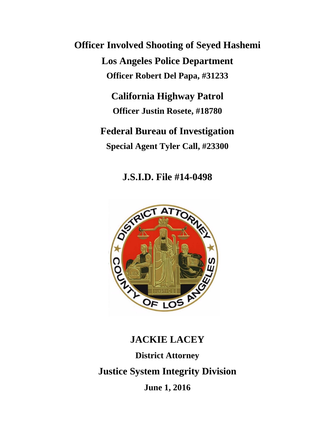**Officer Involved Shooting of Seyed Hashemi Los Angeles Police Department Officer Robert Del Papa, #31233**

> **California Highway Patrol Officer Justin Rosete, #18780**

**Federal Bureau of Investigation Special Agent Tyler Call, #23300**

**J.S.I.D. File #14-0498**



# **JACKIE LACEY District Attorney Justice System Integrity Division June 1, 2016**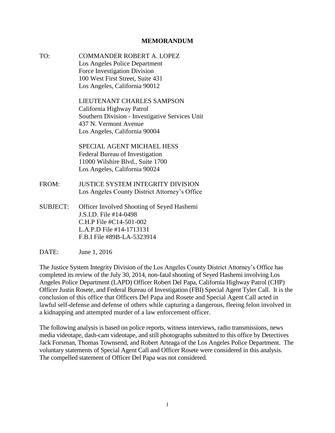#### **MEMORANDUM**

TO: COMMANDER ROBERT A. LOPEZ Los Angeles Police Department Force Investigation Division 100 West First Street, Suite 431 Los Angeles, California 90012

> LIEUTENANT CHARLES SAMPSON California Highway Patrol Southern Division - Investigative Services Unit 437 N. Vermont Avenue Los Angeles, California 90004

SPECIAL AGENT MICHAEL HESS Federal Bureau of Investigation 11000 Wilshire Blvd., Suite 1700 Los Angeles, California 90024

- FROM: JUSTICE SYSTEM INTEGRITY DIVISION Los Angeles County District Attorney's Office
- SUBJECT: Officer Involved Shooting of Seyed Hashemi J.S.I.D. File #14-0498 C.H.P File #C14-501-002 L.A.P.D File #14-1713131 F.B.I File #89B-LA-5323914
- DATE: June 1, 2016

The Justice System Integrity Division of the Los Angeles County District Attorney's Office has completed its review of the July 30, 2014, non-fatal shooting of Seyed Hashemi involving Los Angeles Police Department (LAPD) Officer Robert Del Papa, California Highway Patrol (CHP) Officer Justin Rosete, and Federal Bureau of Investigation (FBI) Special Agent Tyler Call. It is the conclusion of this office that Officers Del Papa and Rosete and Special Agent Call acted in lawful self-defense and defense of others while capturing a dangerous, fleeing felon involved in a kidnapping and attempted murder of a law enforcement officer.

The following analysis is based on police reports, witness interviews, radio transmissions, news media videotape, dash-cam videotape, and still photographs submitted to this office by Detectives Jack Forsman, Thomas Townsend, and Robert Arteaga of the Los Angeles Police Department. The voluntary statements of Special Agent Call and Officer Rosete were considered in this analysis. The compelled statement of Officer Del Papa was not considered.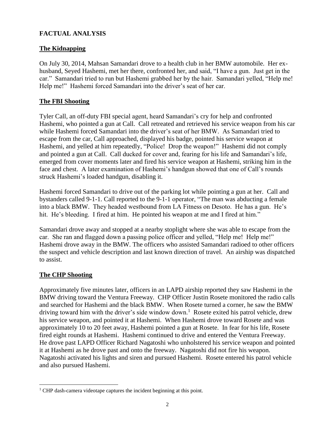# **FACTUAL ANALYSIS**

## **The Kidnapping**

On July 30, 2014, Mahsan Samandari drove to a health club in her BMW automobile. Her exhusband, Seyed Hashemi, met her there, confronted her, and said, "I have a gun. Just get in the car." Samandari tried to run but Hashemi grabbed her by the hair. Samandari yelled, "Help me! Help me!" Hashemi forced Samandari into the driver's seat of her car.

## **The FBI Shooting**

Tyler Call, an off-duty FBI special agent, heard Samandari's cry for help and confronted Hashemi, who pointed a gun at Call. Call retreated and retrieved his service weapon from his car while Hashemi forced Samandari into the driver's seat of her BMW. As Samandari tried to escape from the car, Call approached, displayed his badge, pointed his service weapon at Hashemi, and yelled at him repeatedly, "Police! Drop the weapon!" Hashemi did not comply and pointed a gun at Call. Call ducked for cover and, fearing for his life and Samandari's life, emerged from cover moments later and fired his service weapon at Hashemi, striking him in the face and chest. A later examination of Hashemi's handgun showed that one of Call's rounds struck Hashemi's loaded handgun, disabling it.

Hashemi forced Samandari to drive out of the parking lot while pointing a gun at her. Call and bystanders called 9-1-1. Call reported to the 9-1-1 operator, "The man was abducting a female into a black BMW. They headed westbound from LA Fitness on Desoto. He has a gun. He's hit. He's bleeding. I fired at him. He pointed his weapon at me and I fired at him."

Samandari drove away and stopped at a nearby stoplight where she was able to escape from the car. She ran and flagged down a passing police officer and yelled, "Help me! Help me!" Hashemi drove away in the BMW. The officers who assisted Samandari radioed to other officers the suspect and vehicle description and last known direction of travel. An airship was dispatched to assist.

## **The CHP Shooting**

l

Approximately five minutes later, officers in an LAPD airship reported they saw Hashemi in the BMW driving toward the Ventura Freeway. CHP Officer Justin Rosete monitored the radio calls and searched for Hashemi and the black BMW. When Rosete turned a corner, he saw the BMW driving toward him with the driver's side window down.<sup>1</sup> Rosete exited his patrol vehicle, drew his service weapon, and pointed it at Hashemi. When Hashemi drove toward Rosete and was approximately 10 to 20 feet away, Hashemi pointed a gun at Rosete. In fear for his life, Rosete fired eight rounds at Hashemi. Hashemi continued to drive and entered the Ventura Freeway. He drove past LAPD Officer Richard Nagatoshi who unholstered his service weapon and pointed it at Hashemi as he drove past and onto the freeway. Nagatoshi did not fire his weapon. Nagatoshi activated his lights and siren and pursued Hashemi. Rosete entered his patrol vehicle and also pursued Hashemi.

<sup>&</sup>lt;sup>1</sup> CHP dash-camera videotape captures the incident beginning at this point.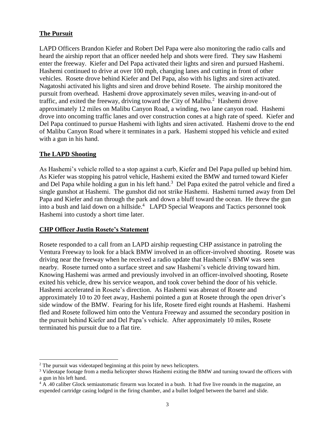## **The Pursuit**

LAPD Officers Brandon Kiefer and Robert Del Papa were also monitoring the radio calls and heard the airship report that an officer needed help and shots were fired. They saw Hashemi enter the freeway. Kiefer and Del Papa activated their lights and siren and pursued Hashemi. Hashemi continued to drive at over 100 mph, changing lanes and cutting in front of other vehicles. Rosete drove behind Kiefer and Del Papa, also with his lights and siren activated. Nagatoshi activated his lights and siren and drove behind Rosete. The airship monitored the pursuit from overhead. Hashemi drove approximately seven miles, weaving in-and-out of traffic, and exited the freeway, driving toward the City of Malibu. $^2$  Hashemi drove approximately 12 miles on Malibu Canyon Road, a winding, two lane canyon road. Hashemi drove into oncoming traffic lanes and over construction cones at a high rate of speed. Kiefer and Del Papa continued to pursue Hashemi with lights and siren activated. Hashemi drove to the end of Malibu Canyon Road where it terminates in a park. Hashemi stopped his vehicle and exited with a gun in his hand.

## **The LAPD Shooting**

 $\overline{\phantom{a}}$ 

As Hashemi's vehicle rolled to a stop against a curb, Kiefer and Del Papa pulled up behind him. As Kiefer was stopping his patrol vehicle, Hashemi exited the BMW and turned toward Kiefer and Del Papa while holding a gun in his left hand.<sup>3</sup> Del Papa exited the patrol vehicle and fired a single gunshot at Hashemi. The gunshot did not strike Hashemi. Hashemi turned away from Del Papa and Kiefer and ran through the park and down a bluff toward the ocean. He threw the gun into a bush and laid down on a hillside.<sup>4</sup> LAPD Special Weapons and Tactics personnel took Hashemi into custody a short time later.

#### **CHP Officer Justin Rosete's Statement**

Rosete responded to a call from an LAPD airship requesting CHP assistance in patroling the Ventura Freeway to look for a black BMW involved in an officer-involved shooting. Rosete was driving near the freeway when he received a radio update that Hashemi's BMW was seen nearby. Rosete turned onto a surface street and saw Hashemi's vehicle driving toward him. Knowing Hashemi was armed and previously involved in an officer-involved shooting, Rosete exited his vehicle, drew his service weapon, and took cover behind the door of his vehicle. Hashemi accelerated in Rosete's direction. As Hashemi was abreast of Rosete and approximately 10 to 20 feet away, Hashemi pointed a gun at Rosete through the open driver's side window of the BMW. Fearing for his life, Rosete fired eight rounds at Hashemi. Hashemi fled and Rosete followed him onto the Ventura Freeway and assumed the secondary position in the pursuit behind Kiefer and Del Papa's vehicle. After approximately 10 miles, Rosete terminated his pursuit due to a flat tire.

<sup>&</sup>lt;sup>2</sup> The pursuit was videotaped beginning at this point by news helicopters.

<sup>&</sup>lt;sup>3</sup> Videotape footage from a media helicopter shows Hashemi exiting the BMW and turning toward the officers with a gun in his left hand.

<sup>&</sup>lt;sup>4</sup> A .40 caliber Glock semiautomatic firearm was located in a bush. It had five live rounds in the magazine, an expended cartridge casing lodged in the firing chamber, and a bullet lodged between the barrel and slide.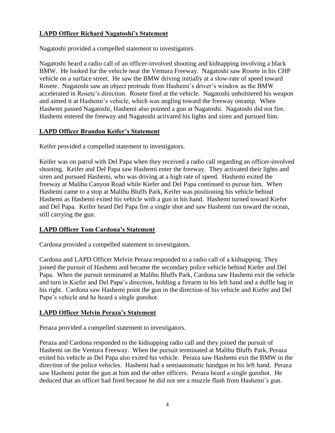# **LAPD Officer Richard Nagatoshi's Statement**

Nagatoshi provided a compelled statement to investigators.

Nagatoshi heard a radio call of an officer-involved shooting and kidnapping involving a black BMW. He looked for the vehicle near the Ventura Freeway. Nagatoshi saw Rosete in his CHP vehicle on a surface street. He saw the BMW driving initially at a slow-rate of speed toward Rosete. Nagatoshi saw an object protrude from Hashemi's driver's window as the BMW accelerated in Rosete's direction. Rosete fired at the vehicle. Nagatoshi unholstered his weapon and aimed it at Hashemi's vehicle, which was angling toward the freeway onramp. When Hashemi passed Nagatoshi, Hashemi also pointed a gun at Nagatoshi. Nagatoshi did not fire. Hashemi entered the freeway and Nagatoshi activated his lights and siren and pursued him.

# **LAPD Officer Brandon Keifer's Statement**

Keifer provided a compelled statement to investigators.

Keifer was on patrol with Del Papa when they received a radio call regarding an officer-involved shooting. Keifer and Del Papa saw Hashemi enter the freeway. They activated their lights and siren and pursued Hashemi, who was driving at a high rate of speed. Hashemi exited the freeway at Malibu Canyon Road while Kiefer and Del Papa continued to pursue him. When Hashemi came to a stop at Malibu Bluffs Park, Keifer was positioning his vehicle behind Hashemi as Hashemi exited his vehicle with a gun in his hand. Hashemi turned toward Kiefer and Del Papa. Keifer heard Del Papa fire a single shot and saw Hashemi run toward the ocean, still carrying the gun.

# **LAPD Officer Tom Cardona's Statement**

Cardona provided a compelled statement to investigators.

Cardona and LAPD Officer Melvin Peraza responded to a radio call of a kidnapping. They joined the pursuit of Hashemi and became the secondary police vehicle behind Kiefer and Del Papa. When the pursuit terminated at Malibu Bluffs Park, Cardona saw Hashemi exit the vehicle and turn in Kiefer and Del Papa's direction, holding a firearm in his left hand and a duffle bag in his right. Cardona saw Hashemi point the gun in the direction of his vehicle and Kiefer and Del Papa's vehicle and he heard a single gunshot.

# **LAPD Officer Melvin Peraza's Statement**

Peraza provided a compelled statement to investigators.

Peraza and Cardona responded to the kidnapping radio call and they joined the pursuit of Hashemi on the Ventura Freeway. When the pursuit terminated at Malibu Bluffs Park, Peraza exited his vehicle as Del Papa also exited his vehicle. Peraza saw Hashemi exit the BMW in the direction of the police vehicles. Hashemi had a semiautomatic handgun in his left hand. Peraza saw Hashemi point the gun at him and the other officers. Peraza heard a single gunshot. He deduced that an officer had fired because he did not see a muzzle flash from Hashemi's gun.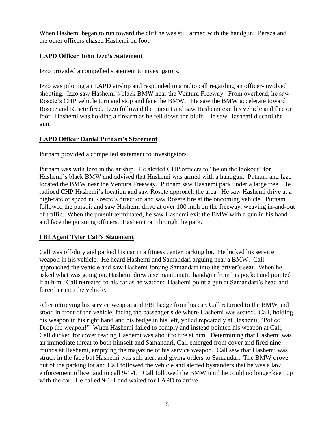When Hashemi began to run toward the cliff he was still armed with the handgun. Peraza and the other officers chased Hashemi on foot.

# **LAPD Officer John Izzo's Statement**

Izzo provided a compelled statement to investigators.

Izzo was piloting an LAPD airship and responded to a radio call regarding an officer-involved shooting. Izzo saw Hashemi's black BMW near the Ventura Freeway. From overhead, he saw Rosete's CHP vehicle turn and stop and face the BMW. He saw the BMW accelerate toward Rosete and Rosete fired. Izzo followed the pursuit and saw Hashemi exit his vehicle and flee on foot. Hashemi was holding a firearm as he fell down the bluff. He saw Hashemi discard the gun.

# **LAPD Officer Daniel Putnam's Statement**

Putnam provided a compelled statement to investigators.

Putnam was with Izzo in the airship. He alerted CHP officers to "be on the lookout" for Hashemi's black BMW and advised that Hashemi was armed with a handgun. Putnam and Izzo located the BMW near the Ventura Freeway. Putnam saw Hashemi park under a large tree. He radioed CHP Hashemi's location and saw Rosete approach the area. He saw Hashemi drive at a high-rate of speed in Rosete's direction and saw Rosete fire at the oncoming vehicle. Putnam followed the pursuit and saw Hashemi drive at over 100 mph on the freeway, weaving in-and-out of traffic. When the pursuit terminated, he saw Hashemi exit the BMW with a gun in his hand and face the pursuing officers. Hashemi ran through the park.

# **FBI Agent Tyler Call's Statement**

Call was off-duty and parked his car in a fitness center parking lot. He locked his service weapon in his vehicle. He heard Hashemi and Samandari arguing near a BMW. Call approached the vehicle and saw Hashemi forcing Samandari into the driver's seat. When he asked what was going on, Hashemi drew a semiautomatic handgun from his pocket and pointed it at him. Call retreated to his car as he watched Hashemi point a gun at Samandari's head and force her into the vehicle.

After retrieving his service weapon and FBI badge from his car, Call returned to the BMW and stood in front of the vehicle, facing the passenger side where Hashemi was seated. Call, holding his weapon in his right hand and his badge in his left, yelled repeatedly at Hashemi, "Police! Drop the weapon!" When Hashemi failed to comply and instead pointed his weapon at Call, Call ducked for cover fearing Hashemi was about to fire at him. Determining that Hashemi was an immediate threat to both himself and Samandari, Call emerged from cover and fired nine rounds at Hashemi, emptying the magazine of his service weapon. Call saw that Hashemi was struck in the face but Hashemi was still alert and giving orders to Samandari. The BMW drove out of the parking lot and Call followed the vehicle and alerted bystanders that he was a law enforcement officer and to call 9-1-1. Call followed the BMW until he could no longer keep up with the car. He called 9-1-1 and waited for LAPD to arrive.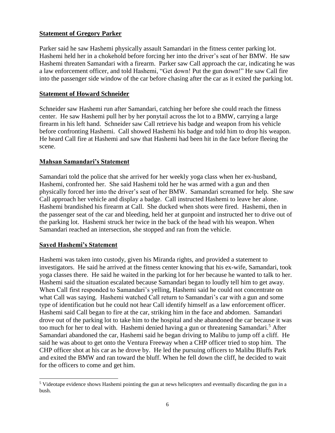## **Statement of Gregory Parker**

Parker said he saw Hashemi physically assault Samandari in the fitness center parking lot. Hashemi held her in a chokehold before forcing her into the driver's seat of her BMW. He saw Hashemi threaten Samandari with a firearm. Parker saw Call approach the car, indicating he was a law enforcement officer, and told Hashemi, "Get down! Put the gun down!" He saw Call fire into the passenger side window of the car before chasing after the car as it exited the parking lot.

#### **Statement of Howard Schneider**

Schneider saw Hashemi run after Samandari, catching her before she could reach the fitness center. He saw Hashemi pull her by her ponytail across the lot to a BMW, carrying a large firearm in his left hand. Schneider saw Call retrieve his badge and weapon from his vehicle before confronting Hashemi. Call showed Hashemi his badge and told him to drop his weapon. He heard Call fire at Hashemi and saw that Hashemi had been hit in the face before fleeing the scene.

#### **Mahsan Samandari's Statement**

Samandari told the police that she arrived for her weekly yoga class when her ex-husband, Hashemi, confronted her. She said Hashemi told her he was armed with a gun and then physically forced her into the driver's seat of her BMW. Samandari screamed for help. She saw Call approach her vehicle and display a badge. Call instructed Hashemi to leave her alone. Hashemi brandished his firearm at Call. She ducked when shots were fired. Hashemi, then in the passenger seat of the car and bleeding, held her at gunpoint and instructed her to drive out of the parking lot. Hashemi struck her twice in the back of the head with his weapon. When Samandari reached an intersection, she stopped and ran from the vehicle.

#### **Sayed Hashemi's Statement**

 $\overline{a}$ 

Hashemi was taken into custody, given his Miranda rights, and provided a statement to investigators. He said he arrived at the fitness center knowing that his ex-wife, Samandari, took yoga classes there. He said he waited in the parking lot for her because he wanted to talk to her. Hashemi said the situation escalated because Samandari began to loudly tell him to get away. When Call first responded to Samandari's yelling, Hashemi said he could not concentrate on what Call was saying. Hashemi watched Call return to Samandari's car with a gun and some type of identification but he could not hear Call identify himself as a law enforcement officer. Hashemi said Call began to fire at the car, striking him in the face and abdomen. Samandari drove out of the parking lot to take him to the hospital and she abandoned the car because it was too much for her to deal with. Hashemi denied having a gun or threatening Samandari.<sup>5</sup> After Samandari abandoned the car, Hashemi said he began driving to Malibu to jump off a cliff. He said he was about to get onto the Ventura Freeway when a CHP officer tried to stop him. The CHP officer shot at his car as he drove by. He led the pursuing officers to Malibu Bluffs Park and exited the BMW and ran toward the bluff. When he fell down the cliff, he decided to wait for the officers to come and get him.

<sup>5</sup> Videotape evidence shows Hashemi pointing the gun at news helicopters and eventually discarding the gun in a bush.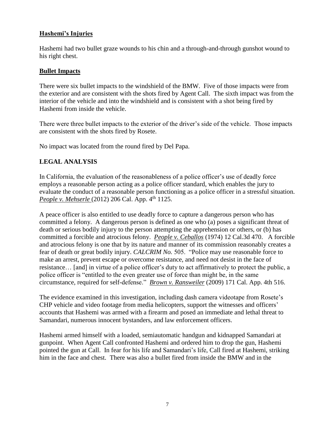# **Hashemi's Injuries**

Hashemi had two bullet graze wounds to his chin and a through-and-through gunshot wound to his right chest.

#### **Bullet Impacts**

There were six bullet impacts to the windshield of the BMW. Five of those impacts were from the exterior and are consistent with the shots fired by Agent Call. The sixth impact was from the interior of the vehicle and into the windshield and is consistent with a shot being fired by Hashemi from inside the vehicle.

There were three bullet impacts to the exterior of the driver's side of the vehicle. Those impacts are consistent with the shots fired by Rosete.

No impact was located from the round fired by Del Papa.

# **LEGAL ANALYSIS**

In California, the evaluation of the reasonableness of a police officer's use of deadly force employs a reasonable person acting as a police officer standard, which enables the jury to evaluate the conduct of a reasonable person functioning as a police officer in a stressful situation. *People v. Mehserle* (2012) 206 Cal. App. 4<sup>th</sup> 1125.

A peace officer is also entitled to use deadly force to capture a dangerous person who has committed a felony. A dangerous person is defined as one who (a) poses a significant threat of death or serious bodily injury to the person attempting the apprehension or others, or (b) has committed a forcible and atrocious felony. *People v. Ceballos* (1974) 12 Cal.3d 470. A forcible and atrocious felony is one that by its nature and manner of its commission reasonably creates a fear of death or great bodily injury. *CALCRIM No.* 505. "Police may use reasonable force to make an arrest, prevent escape or overcome resistance, and need not desist in the face of resistance… [and] in virtue of a police officer's duty to act affirmatively to protect the public, a police officer is "entitled to the even greater use of force than might be, in the same circumstance, required for self-defense." *Brown v. Ransweiler* (2009) 171 Cal. App. 4th 516.

The evidence examined in this investigation, including dash camera videotape from Rosete's CHP vehicle and video footage from media helicopters, support the witnesses and officers' accounts that Hashemi was armed with a firearm and posed an immediate and lethal threat to Samandari, numerous innocent bystanders, and law enforcement officers.

Hashemi armed himself with a loaded, semiautomatic handgun and kidnapped Samandari at gunpoint. When Agent Call confronted Hashemi and ordered him to drop the gun, Hashemi pointed the gun at Call. In fear for his life and Samandari's life, Call fired at Hashemi, striking him in the face and chest. There was also a bullet fired from inside the BMW and in the